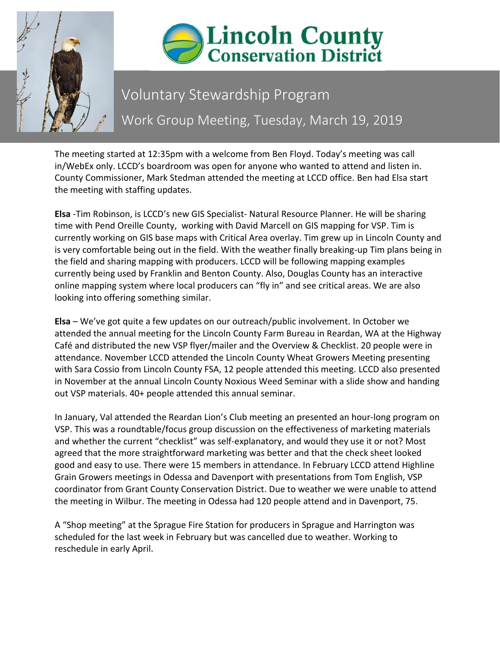



## Voluntary Stewardship Program Work Group Meeting, Tuesday, March 19, 2019

The meeting started at 12:35pm with a welcome from Ben Floyd. Today's meeting was call in/WebEx only. LCCD's boardroom was open for anyone who wanted to attend and listen in. County Commissioner, Mark Stedman attended the meeting at LCCD office. Ben had Elsa start the meeting with staffing updates.

**Elsa** -Tim Robinson, is LCCD's new GIS Specialist- Natural Resource Planner. He will be sharing time with Pend Oreille County, working with David Marcell on GIS mapping for VSP. Tim is currently working on GIS base maps with Critical Area overlay. Tim grew up in Lincoln County and is very comfortable being out in the field. With the weather finally breaking-up Tim plans being in the field and sharing mapping with producers. LCCD will be following mapping examples currently being used by Franklin and Benton County. Also, Douglas County has an interactive online mapping system where local producers can "fly in" and see critical areas. We are also looking into offering something similar.

**Elsa** – We've got quite a few updates on our outreach/public involvement. In October we attended the annual meeting for the Lincoln County Farm Bureau in Reardan, WA at the Highway Café and distributed the new VSP flyer/mailer and the Overview & Checklist. 20 people were in attendance. November LCCD attended the Lincoln County Wheat Growers Meeting presenting with Sara Cossio from Lincoln County FSA, 12 people attended this meeting. LCCD also presented in November at the annual Lincoln County Noxious Weed Seminar with a slide show and handing out VSP materials. 40+ people attended this annual seminar.

In January, Val attended the Reardan Lion's Club meeting an presented an hour-long program on VSP. This was a roundtable/focus group discussion on the effectiveness of marketing materials and whether the current "checklist" was self-explanatory, and would they use it or not? Most agreed that the more straightforward marketing was better and that the check sheet looked good and easy to use. There were 15 members in attendance. In February LCCD attend Highline Grain Growers meetings in Odessa and Davenport with presentations from Tom English, VSP coordinator from Grant County Conservation District. Due to weather we were unable to attend the meeting in Wilbur. The meeting in Odessa had 120 people attend and in Davenport, 75.

A "Shop meeting" at the Sprague Fire Station for producers in Sprague and Harrington was scheduled for the last week in February but was cancelled due to weather. Working to reschedule in early April.